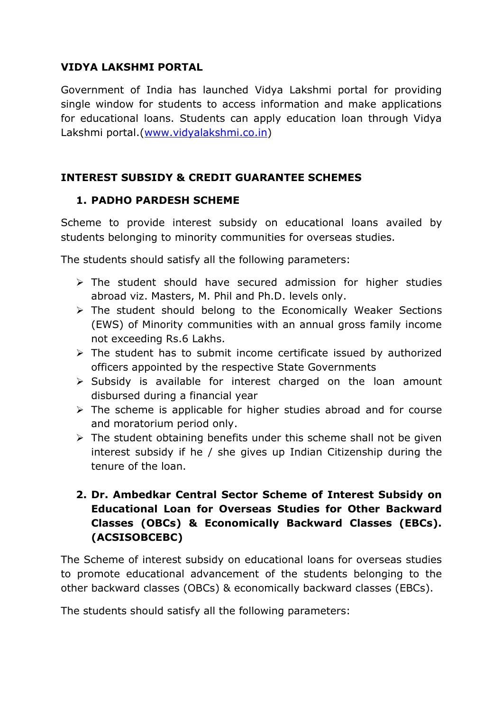### **VIDYA LAKSHMI PORTAL**

Government of India has launched Vidya Lakshmi portal for providing single window for students to access information and make applications for educational loans. Students can apply education loan through Vidya Lakshmi portal.[\(www.vidyalakshmi.co.in\)](http://www.vidyalakshmi.co.in/)

### **INTEREST SUBSIDY & CREDIT GUARANTEE SCHEMES**

#### **1. PADHO PARDESH SCHEME**

Scheme to provide interest subsidy on educational loans availed by students belonging to minority communities for overseas studies.

The students should satisfy all the following parameters:

- $\triangleright$  The student should have secured admission for higher studies abroad viz. Masters, M. Phil and Ph.D. levels only.
- $\triangleright$  The student should belong to the Economically Weaker Sections (EWS) of Minority communities with an annual gross family income not exceeding Rs.6 Lakhs.
- $\triangleright$  The student has to submit income certificate issued by authorized officers appointed by the respective State Governments
- $\triangleright$  Subsidy is available for interest charged on the loan amount disbursed during a financial year
- $\triangleright$  The scheme is applicable for higher studies abroad and for course and moratorium period only.
- $\triangleright$  The student obtaining benefits under this scheme shall not be given interest subsidy if he / she gives up Indian Citizenship during the tenure of the loan.

# **2. Dr. Ambedkar Central Sector Scheme of Interest Subsidy on Educational Loan for Overseas Studies for Other Backward Classes (OBCs) & Economically Backward Classes (EBCs). (ACSISOBCEBC)**

The Scheme of interest subsidy on educational loans for overseas studies to promote educational advancement of the students belonging to the other backward classes (OBCs) & economically backward classes (EBCs).

The students should satisfy all the following parameters: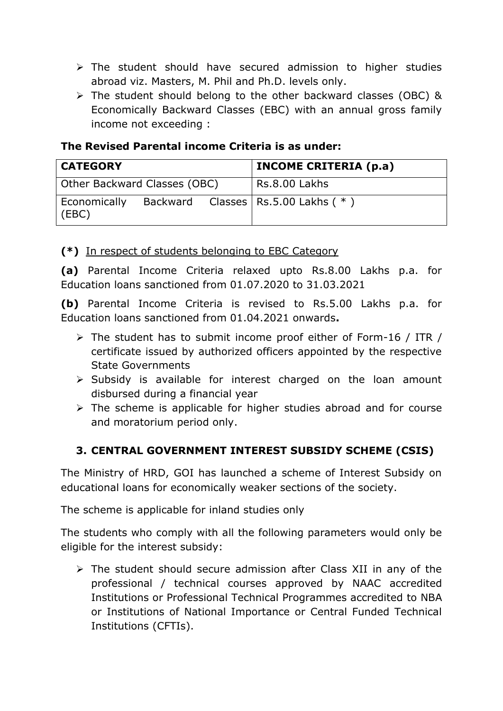- $\triangleright$  The student should have secured admission to higher studies abroad viz. Masters, M. Phil and Ph.D. levels only.
- The student should belong to the other backward classes (OBC) & Economically Backward Classes (EBC) with an annual gross family income not exceeding :

### **The Revised Parental income Criteria is as under:**

| <b>CATEGORY</b>              |  |  | <b>INCOME CRITERIA (p.a)</b>                      |
|------------------------------|--|--|---------------------------------------------------|
| Other Backward Classes (OBC) |  |  | Rs.8.00 Lakhs                                     |
| (EBC)                        |  |  | Economically Backward Classes   Rs.5.00 Lakhs (*) |

**(\*)** In respect of students belonging to EBC Category

**(a)** Parental Income Criteria relaxed upto Rs.8.00 Lakhs p.a. for Education loans sanctioned from 01.07.2020 to 31.03.2021

**(b)** Parental Income Criteria is revised to Rs.5.00 Lakhs p.a. for Education loans sanctioned from 01.04.2021 onwards**.**

- The student has to submit income proof either of Form-16 / ITR / certificate issued by authorized officers appointed by the respective State Governments
- $\triangleright$  Subsidy is available for interest charged on the loan amount disbursed during a financial year
- $\triangleright$  The scheme is applicable for higher studies abroad and for course and moratorium period only.

# **3. CENTRAL GOVERNMENT INTEREST SUBSIDY SCHEME (CSIS)**

The Ministry of HRD, GOI has launched a scheme of Interest Subsidy on educational loans for economically weaker sections of the society.

The scheme is applicable for inland studies only

The students who comply with all the following parameters would only be eligible for the interest subsidy:

 $\triangleright$  The student should secure admission after Class XII in any of the professional / technical courses approved by NAAC accredited Institutions or Professional Technical Programmes accredited to NBA or Institutions of National Importance or Central Funded Technical Institutions (CFTIs).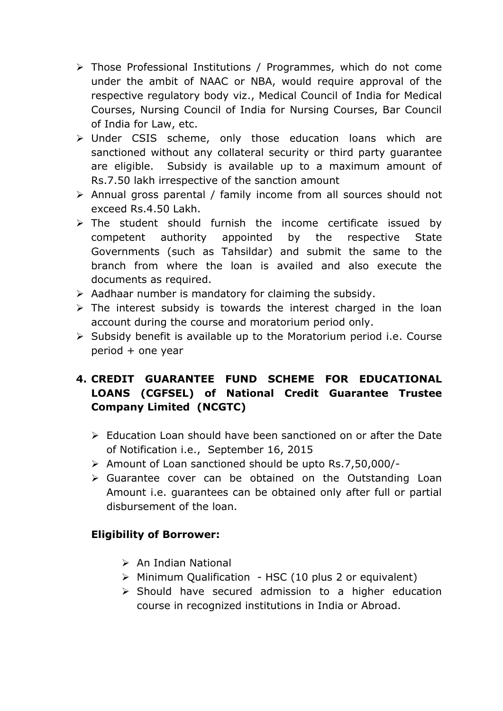- Those Professional Institutions / Programmes, which do not come under the ambit of NAAC or NBA, would require approval of the respective regulatory body viz., Medical Council of India for Medical Courses, Nursing Council of India for Nursing Courses, Bar Council of India for Law, etc.
- Under CSIS scheme, only those education loans which are sanctioned without any collateral security or third party guarantee are eligible. Subsidy is available up to a maximum amount of Rs.7.50 lakh irrespective of the sanction amount
- Annual gross parental / family income from all sources should not exceed Rs.4.50 Lakh.
- $\triangleright$  The student should furnish the income certificate issued by competent authority appointed by the respective State Governments (such as Tahsildar) and submit the same to the branch from where the loan is availed and also execute the documents as required.
- $\triangleright$  Aadhaar number is mandatory for claiming the subsidy.
- $\triangleright$  The interest subsidy is towards the interest charged in the loan account during the course and moratorium period only.
- $\triangleright$  Subsidy benefit is available up to the Moratorium period i.e. Course period + one year

# **4. CREDIT GUARANTEE FUND SCHEME FOR EDUCATIONAL LOANS (CGFSEL) of National Credit Guarantee Trustee Company Limited (NCGTC)**

- $\triangleright$  Education Loan should have been sanctioned on or after the Date of Notification i.e., September 16, 2015
- Amount of Loan sanctioned should be upto Rs.7,50,000/-
- $\triangleright$  Guarantee cover can be obtained on the Outstanding Loan Amount i.e. guarantees can be obtained only after full or partial disbursement of the loan.

### **Eligibility of Borrower:**

- $\triangleright$  An Indian National
- $\triangleright$  Minimum Oualification HSC (10 plus 2 or equivalent)
- $\triangleright$  Should have secured admission to a higher education course in recognized institutions in India or Abroad.